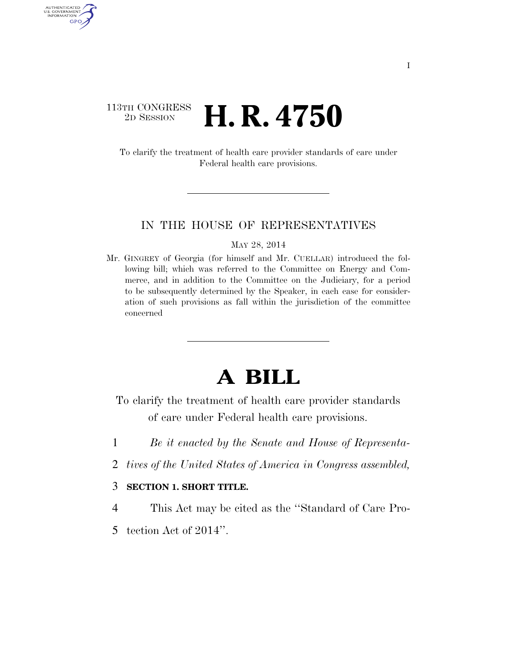### 113TH CONGRESS <sup>2D SESSION</sup> **H. R. 4750**

AUTHENTICATED U.S. GOVERNMENT GPO

> To clarify the treatment of health care provider standards of care under Federal health care provisions.

#### IN THE HOUSE OF REPRESENTATIVES

#### MAY 28, 2014

Mr. GINGREY of Georgia (for himself and Mr. CUELLAR) introduced the following bill; which was referred to the Committee on Energy and Commerce, and in addition to the Committee on the Judiciary, for a period to be subsequently determined by the Speaker, in each case for consideration of such provisions as fall within the jurisdiction of the committee concerned

## **A BILL**

To clarify the treatment of health care provider standards of care under Federal health care provisions.

- 1 *Be it enacted by the Senate and House of Representa-*
- 2 *tives of the United States of America in Congress assembled,*

### 3 **SECTION 1. SHORT TITLE.**

4 This Act may be cited as the ''Standard of Care Pro-

5 tection Act of 2014''.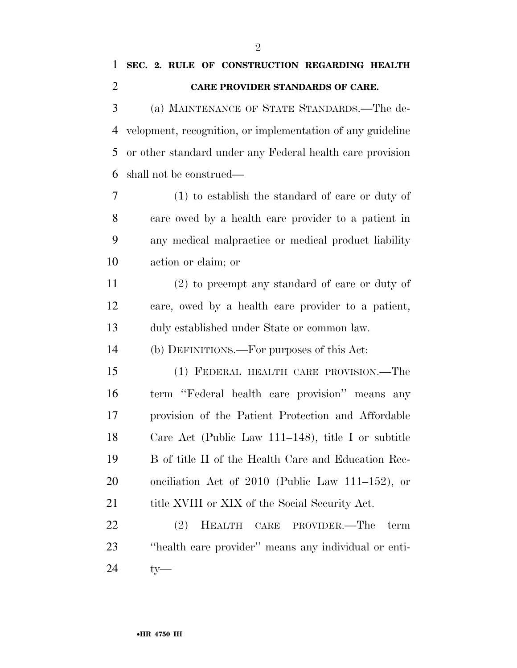# **CARE PROVIDER STANDARDS OF CARE.**

 (a) MAINTENANCE OF STATE STANDARDS.—The de- velopment, recognition, or implementation of any guideline or other standard under any Federal health care provision shall not be construed—

 (1) to establish the standard of care or duty of care owed by a health care provider to a patient in any medical malpractice or medical product liability action or claim; or

 (2) to preempt any standard of care or duty of care, owed by a health care provider to a patient, duly established under State or common law.

(b) DEFINITIONS.—For purposes of this Act:

 (1) FEDERAL HEALTH CARE PROVISION.—The term ''Federal health care provision'' means any provision of the Patient Protection and Affordable Care Act (Public Law 111–148), title I or subtitle B of title II of the Health Care and Education Rec- onciliation Act of 2010 (Public Law 111–152), or 21 title XVIII or XIX of the Social Security Act.

 (2) HEALTH CARE PROVIDER.—The term ''health care provider'' means any individual or enti-ty—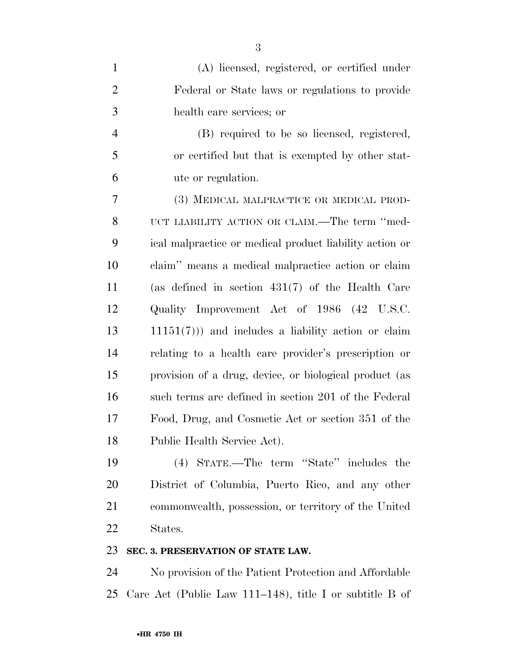| $\mathbf{1}$   | (A) licensed, registered, or certified under            |
|----------------|---------------------------------------------------------|
| $\overline{2}$ | Federal or State laws or regulations to provide         |
| 3              | health care services; or                                |
| $\overline{4}$ | (B) required to be so licensed, registered,             |
| 5              | or certified but that is exempted by other stat-        |
| 6              | ute or regulation.                                      |
| 7              | (3) MEDICAL MALPRACTICE OR MEDICAL PROD-                |
| 8              | UCT LIABILITY ACTION OR CLAIM.—The term "med-           |
| 9              | ical malpractice or medical product liability action or |
| 10             | claim" means a medical malpractice action or claim      |
| 11             | (as defined in section $431(7)$ of the Health Care      |
| 12             | Quality Improvement Act of 1986 (42 U.S.C.              |
| 13             | $11151(7)$ ) and includes a liability action or claim   |
| 14             | relating to a health care provider's prescription or    |
| 15             | provision of a drug, device, or biological product (as  |
| 16             | such terms are defined in section 201 of the Federal    |
| 17             | Food, Drug, and Cosmetic Act or section 351 of the      |
| 18             | Public Health Service Act).                             |
| 19             | (4) STATE The term "State" includes the                 |

 (4) STATE.—The term ''State'' includes the District of Columbia, Puerto Rico, and any other commonwealth, possession, or territory of the United States.

### **SEC. 3. PRESERVATION OF STATE LAW.**

 No provision of the Patient Protection and Affordable Care Act (Public Law 111–148), title I or subtitle B of